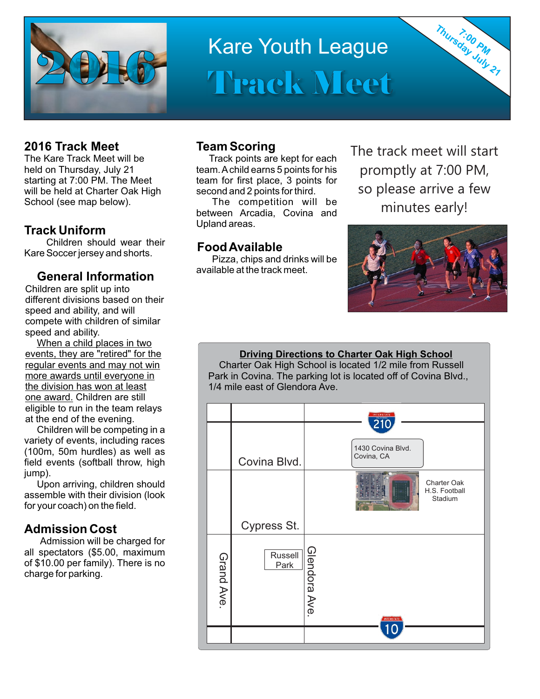

# Kare Youth League Track Meet

### **2016 Track Meet**

The Kare Track Meet will be held on Thursday, July 21 starting at 7:00 PM. The Meet will be held at Charter Oak High School (see map below).

# **Track Uniform**

Children should wear their Kare Soccer jersey and shorts.

### **General Information**

Children are split up into different divisions based on their speed and ability, and will compete with children of similar speed and ability.

When a child places in two events, they are "retired" for the regular events and may not win more awards until everyone in the division has won at least one award. Children are still eligible to run in the team relays at the end of the evening.

Children will be competing in a variety of events, including races (100m, 50m hurdles) as well as field events (softball throw, high iump).

Upon arriving, children should assemble with their division (look for your coach) on the field.

#### **Admission Cost**

Admission will be charged for all spectators (\$5.00, maximum of \$10.00 per family). There is no charge for parking.

#### **Team Scoring**

Track points are kept for each team. Achild earns 5 points for his team for first place, 3 points for second and 2 points for third.

The competition will be between Arcadia, Covina and Upland areas.

# **Food Available**

Pizza, chips and drinks will be available at the track meet.

The track meet will start promptly at 7:00 PM, so please arrive a few minutes early!

Thursday July 21



#### **Driving Directions to Charter Oak High School**

 Charter Oak High School is located 1/2 mile from Russell Park in Covina. The parking lot is located off of Covina Blvd., 1/4 mile east of Glendora Ave.